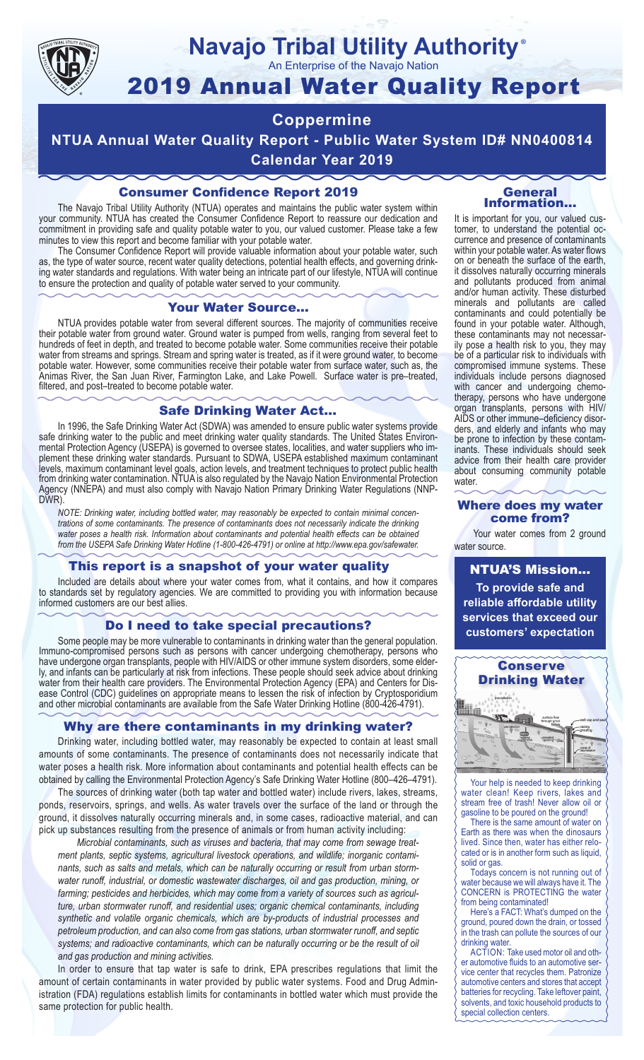

### **Navajo Tribal Utility Authority** ®

An Enterprise of the Navajo Nation

# 2019 Annual Water Quality Report

# **Coppermine**

**NTUA Annual Water Quality Report - Public Water System ID# NN0400814 Calendar Year 2019**

### Consumer Confidence Report 2019

The Navajo Tribal Utility Authority (NTUA) operates and maintains the public water system within your community. NTUA has created the Consumer Confidence Report to reassure our dedication and commitment in providing safe and quality potable water to you, our valued customer. Please take a few minutes to view this report and become familiar with your potable water.

The Consumer Confidence Report will provide valuable information about your potable water, such as, the type of water source, recent water quality detections, potential health effects, and governing drinking water standards and regulations. With water being an intricate part of our lifestyle, NTUA will continue to ensure the protection and quality of potable water served to your community.

#### Your Water Source…

NTUA provides potable water from several different sources. The majority of communities receive their potable water from ground water. Ground water is pumped from wells, ranging from several feet to hundreds of feet in depth, and treated to become potable water. Some communities receive their potable water from streams and springs. Stream and spring water is treated, as if it were ground water, to become potable water. However, some communities receive their potable water from surface water, such as, the Animas River, the San Juan River, Farmington Lake, and Lake Powell. Surface water is pre–treated, filtered, and post–treated to become potable water.

#### Safe Drinking Water Act…

In 1996, the Safe Drinking Water Act (SDWA) was amended to ensure public water systems provide safe drinking water to the public and meet drinking water quality standards. The United States Environmental Protection Agency (USEPA) is governed to oversee states, localities, and water suppliers who implement these drinking water standards. Pursuant to SDWA, USEPA established maximum contaminant levels, maximum contaminant level goals, action levels, and treatment techniques to protect public health from drinking water contamination. NTUA is also regulated by the Navajo Nation Environmental Protection Agency (NNEPA) and must also comply with Navajo Nation Primary Drinking Water Regulations (NNP-DWR)

*NOTE: Drinking water, including bottled water, may reasonably be expected to contain minimal concentrations of some contaminants. The presence of contaminants does not necessarily indicate the drinking water poses a health risk. Information about contaminants and potential health effects can be obtained from the USEPA Safe Drinking Water Hotline (1-800-426-4791) or online at http://www.epa.gov/safewater.*

#### This report is a snapshot of your water quality

Included are details about where your water comes from, what it contains, and how it compares to standards set by regulatory agencies. We are committed to providing you with information because informed customers are our best allies.

#### Do I need to take special precautions?

Some people may be more vulnerable to contaminants in drinking water than the general population. Immuno-compromised persons such as persons with cancer undergoing chemotherapy, persons who have undergone organ transplants, people with HIV/AIDS or other immune system disorders, some elderly, and infants can be particularly at risk from infections. These people should seek advice about drinking water from their health care providers. The Environmental Protection Agency (EPA) and Centers for Disease Control (CDC) guidelines on appropriate means to lessen the risk of infection by Cryptosporidium and other microbial contaminants are available from the Safe Water Drinking Hotline (800-426-4791).

#### Why are there contaminants in my drinking water?

Drinking water, including bottled water, may reasonably be expected to contain at least small amounts of some contaminants. The presence of contaminants does not necessarily indicate that water poses a health risk. More information about contaminants and potential health effects can be obtained by calling the Environmental Protection Agency's Safe Drinking Water Hotline (800–426–4791).

The sources of drinking water (both tap water and bottled water) include rivers, lakes, streams, ponds, reservoirs, springs, and wells. As water travels over the surface of the land or through the ground, it dissolves naturally occurring minerals and, in some cases, radioactive material, and can pick up substances resulting from the presence of animals or from human activity including:

*Microbial contaminants, such as viruses and bacteria, that may come from sewage treatment plants, septic systems, agricultural livestock operations, and wildlife; inorganic contaminants, such as salts and metals, which can be naturally occurring or result from urban stormwater runoff, industrial, or domestic wastewater discharges, oil and gas production, mining, or farming; pesticides and herbicides, which may come from a variety of sources such as agriculture, urban stormwater runoff, and residential uses; organic chemical contaminants, including synthetic and volatile organic chemicals, which are by-products of industrial processes and petroleum production, and can also come from gas stations, urban stormwater runoff, and septic systems; and radioactive contaminants, which can be naturally occurring or be the result of oil and gas production and mining activities.*

In order to ensure that tap water is safe to drink, EPA prescribes regulations that limit the amount of certain contaminants in water provided by public water systems. Food and Drug Administration (FDA) regulations establish limits for contaminants in bottled water which must provide the same protection for public health.

#### General Information…

It is important for you, our valued customer, to understand the potential occurrence and presence of contaminants within your potable water. As water flows on or beneath the surface of the earth, it dissolves naturally occurring minerals and pollutants produced from animal and/or human activity. These disturbed minerals and pollutants are called contaminants and could potentially be found in your potable water. Although, these contaminants may not necessarily pose a health risk to you, they may be of a particular risk to individuals with compromised immune systems. These individuals include persons diagnosed with cancer and undergoing chemo-<br>therapy, persons who have undergone organ transplants, persons with HIV/ AIDS or other immune–deficiency disor- ders, and elderly and infants who may be prone to infection by these contam- inants. These individuals should seek advice from their health care provider about consuming community potable water.

#### Where does my water come from?

Your water comes from 2 ground water source.

NTUA'S Mission... **To provide safe and reliable affordable utility services that exceed our customers' expectation**



Your help is needed to keep drinking water clean! Keep rivers, lakes and stream free of trash! Never allow oil or gasoline to be poured on the ground!

There is the same amount of water on Earth as there was when the dinosaurs lived. Since then, water has either relocated or is in another form such as liquid, solid or gas.

Todays concern is not running out of water because we will always have it. The CONCERN is PROTECTING the water from being contaminated!

Here's a FACT: What's dumped on the ground, poured down the drain, or tossed in the trash can pollute the sources of our drinking water.

ACTION: Take used motor oil and other automotive fluids to an automotive service center that recycles them. Patronize automotive centers and stores that accept batteries for recycling. Take leftover paint, solvents, and toxic household products to special collection centers.